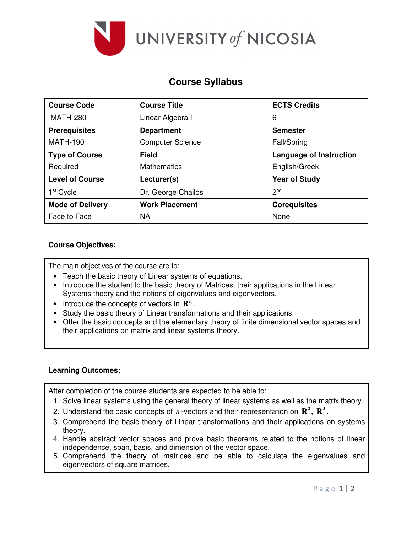

# **Course Syllabus**

| <b>Course Code</b>      | <b>Course Title</b>     | <b>ECTS Credits</b>            |  |  |
|-------------------------|-------------------------|--------------------------------|--|--|
| <b>MATH-280</b>         | Linear Algebra I        | 6                              |  |  |
| <b>Prerequisites</b>    | <b>Department</b>       | <b>Semester</b>                |  |  |
| <b>MATH-190</b>         | <b>Computer Science</b> | Fall/Spring                    |  |  |
| <b>Type of Course</b>   | <b>Field</b>            | <b>Language of Instruction</b> |  |  |
| Required                | <b>Mathematics</b>      | English/Greek                  |  |  |
| <b>Level of Course</b>  | Lecturer(s)             | <b>Year of Study</b>           |  |  |
| $1st$ Cycle             | Dr. George Chailos      | 2 <sub>nd</sub>                |  |  |
| <b>Mode of Delivery</b> | <b>Work Placement</b>   | <b>Corequisites</b>            |  |  |
| Face to Face            | <b>NA</b>               | None                           |  |  |

# **Course Objectives:**

The main objectives of the course are to:

- Teach the basic theory of Linear systems of equations.
- Introduce the student to the basic theory of Matrices, their applications in the Linear Systems theory and the notions of eigenvalues and eigenvectors.
- Introduce the concepts of vectors in  $\mathbb{R}^n$ .
- Study the basic theory of Linear transformations and their applications.
- Offer the basic concepts and the elementary theory of finite dimensional vector spaces and their applications on matrix and linear systems theory.

### **Learning Outcomes:**

After completion of the course students are expected to be able to:

- 1. Solve linear systems using the general theory of linear systems as well as the matrix theory.
- 2. Understand the basic concepts of  $n$  -vectors and their representation on  $\mathbb{R}^2$ ,  $\mathbb{R}^3$ .
- 3. Comprehend the basic theory of Linear transformations and their applications on systems theory.
- 4. Handle abstract vector spaces and prove basic theorems related to the notions of linear independence, span, basis, and dimension of the vector space.
- 5. Comprehend the theory of matrices and be able to calculate the eigenvalues and eigenvectors of square matrices.